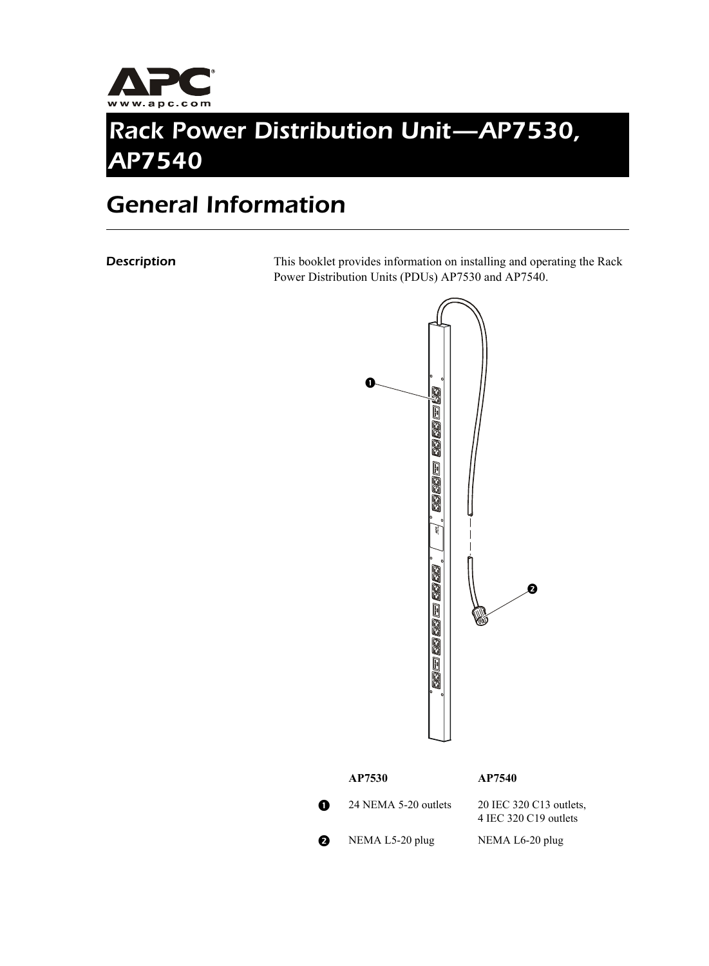

## *Rack Power Distribution Unit—AP7530, AP7540*

### *General Information*

**Description** This booklet provides information on installing and operating the Rack Power Distribution Units (PDUs) AP7530 and AP7540.



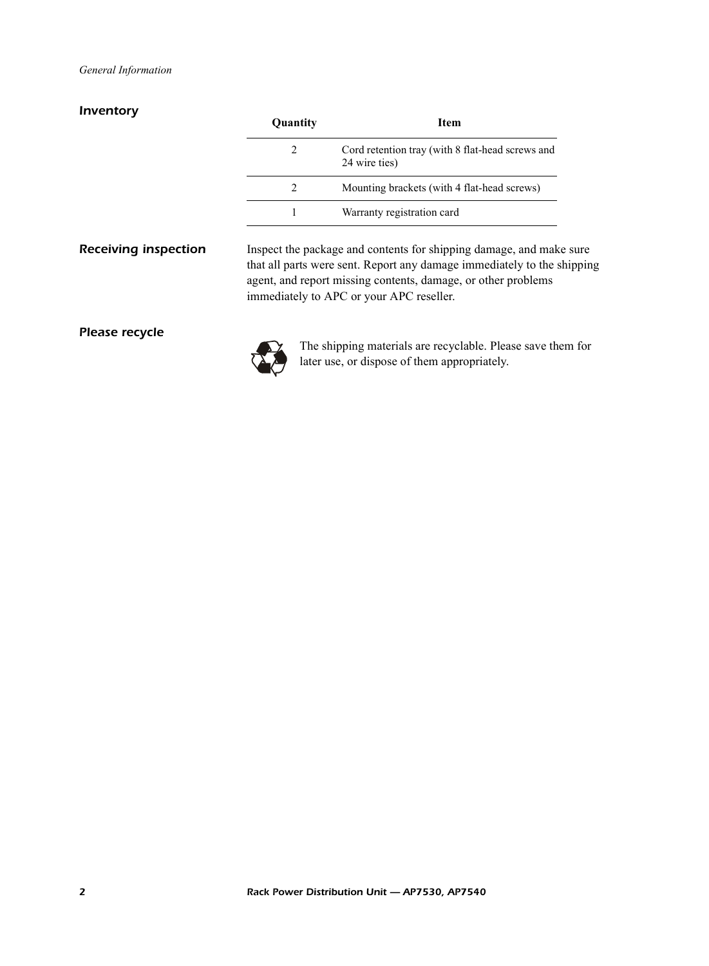### *Inventory*

|                             | Quantity                                                                                                                                                                                                                                                    | <b>Item</b>                                                                                                 |  |
|-----------------------------|-------------------------------------------------------------------------------------------------------------------------------------------------------------------------------------------------------------------------------------------------------------|-------------------------------------------------------------------------------------------------------------|--|
|                             | 2                                                                                                                                                                                                                                                           | Cord retention tray (with 8 flat-head screws and<br>24 wire ties)                                           |  |
|                             | $\overline{2}$                                                                                                                                                                                                                                              | Mounting brackets (with 4 flat-head screws)                                                                 |  |
|                             |                                                                                                                                                                                                                                                             | Warranty registration card                                                                                  |  |
| <b>Receiving inspection</b> | Inspect the package and contents for shipping damage, and make sure<br>that all parts were sent. Report any damage immediately to the shipping<br>agent, and report missing contents, damage, or other problems<br>immediately to APC or your APC reseller. |                                                                                                             |  |
| Please recycle              |                                                                                                                                                                                                                                                             | The shipping materials are recyclable. Please save them for<br>later use, or dispose of them appropriately. |  |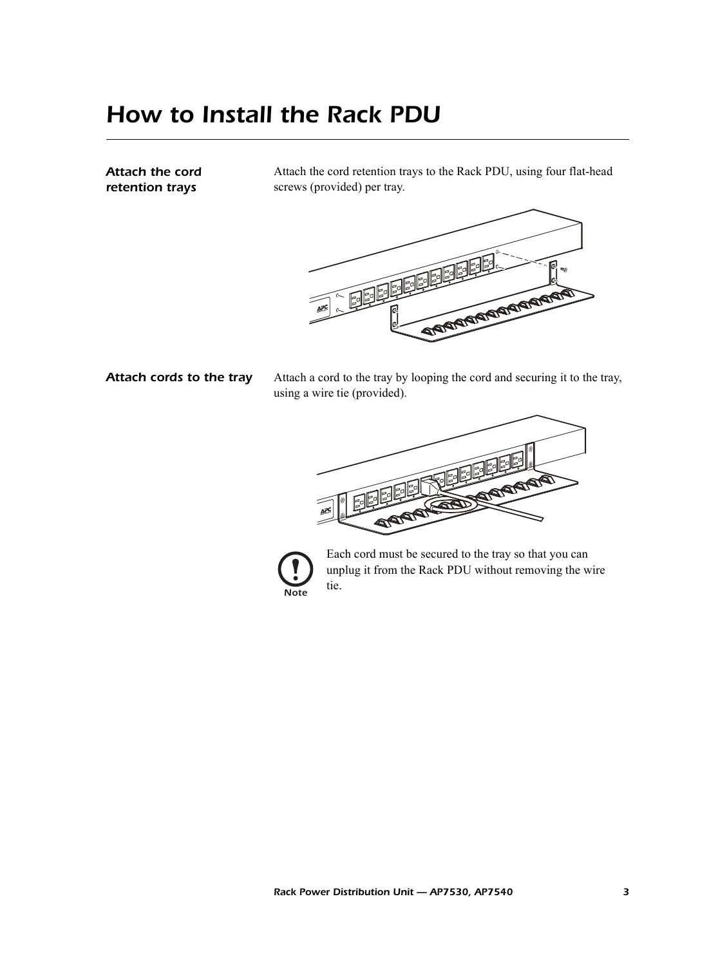### *How to Install the Rack PDU*

*Attach the cord retention trays*

Attach the cord retention trays to the Rack PDU, using four flat-head screws (provided) per tray.



Attach cords to the tray Attach a cord to the tray by looping the cord and securing it to the tray, using a wire tie (provided).





Each cord must be secured to the tray so that you can unplug it from the Rack PDU without removing the wire tie.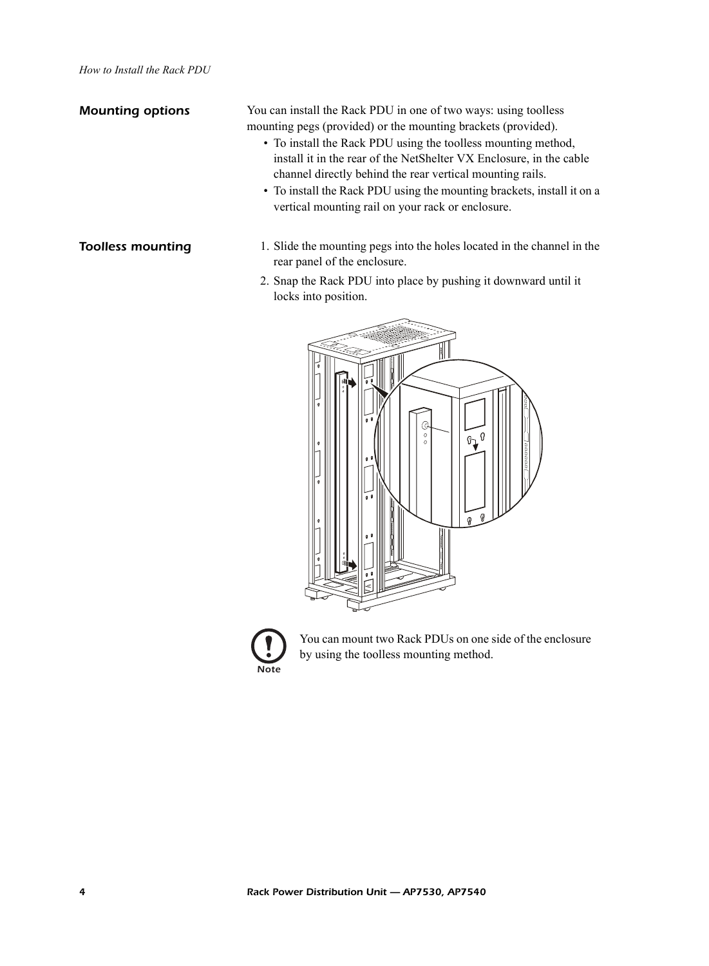**Mounting options** You can install the Rack PDU in one of two ways: using toolless mounting pegs (provided) or the mounting brackets (provided).

- To install the Rack PDU using the toolless mounting method, install it in the rear of the NetShelter VX Enclosure, in the cable channel directly behind the rear vertical mounting rails.
- To install the Rack PDU using the mounting brackets, install it on a vertical mounting rail on your rack or enclosure.
- **Toolless mounting** 1. Slide the mounting pegs into the holes located in the channel in the rear panel of the enclosure.
	- 2. Snap the Rack PDU into place by pushing it downward until it locks into position.





You can mount two Rack PDUs on one side of the enclosure by using the toolless mounting method.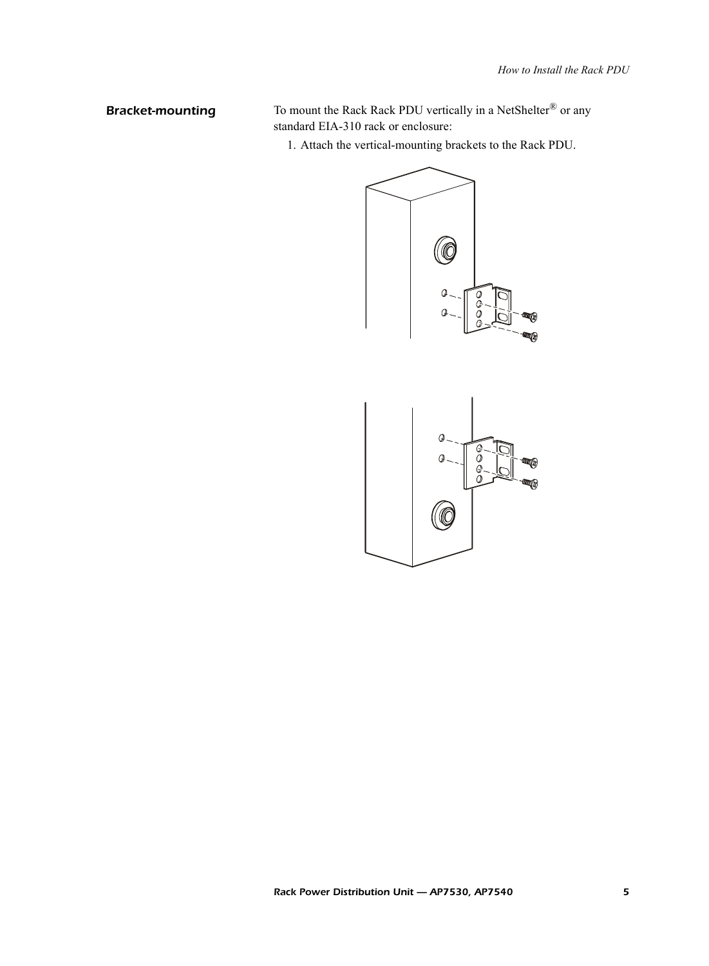**Bracket-mounting** To mount the Rack Rack PDU vertically in a NetShelter<sup>®</sup> or any standard EIA-310 rack or enclosure:

1. Attach the vertical-mounting brackets to the Rack PDU.

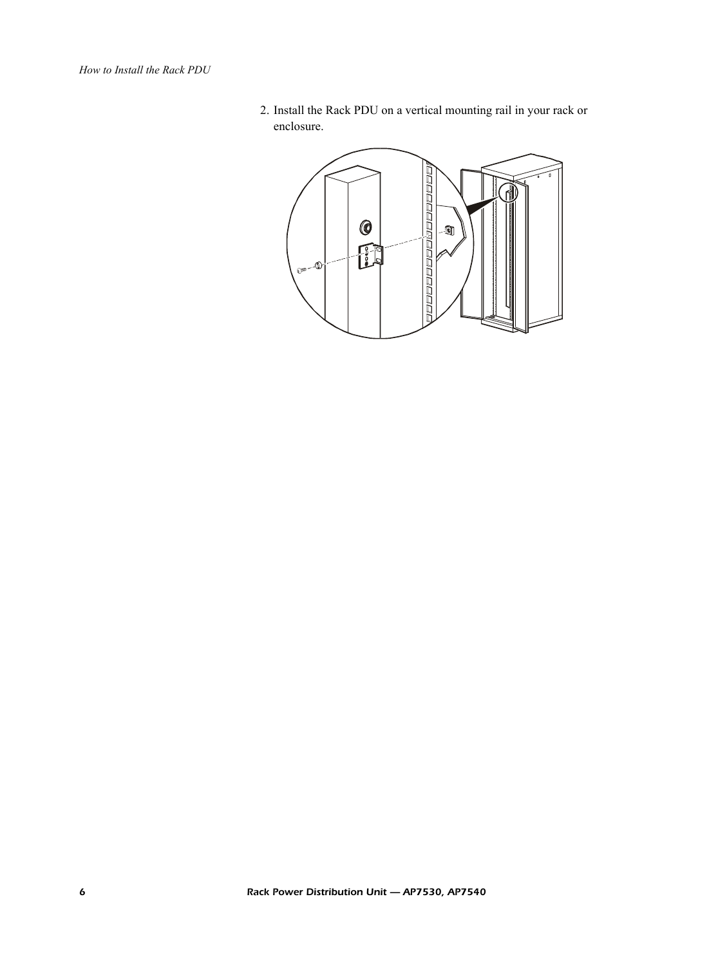2. Install the Rack PDU on a vertical mounting rail in your rack or enclosure.

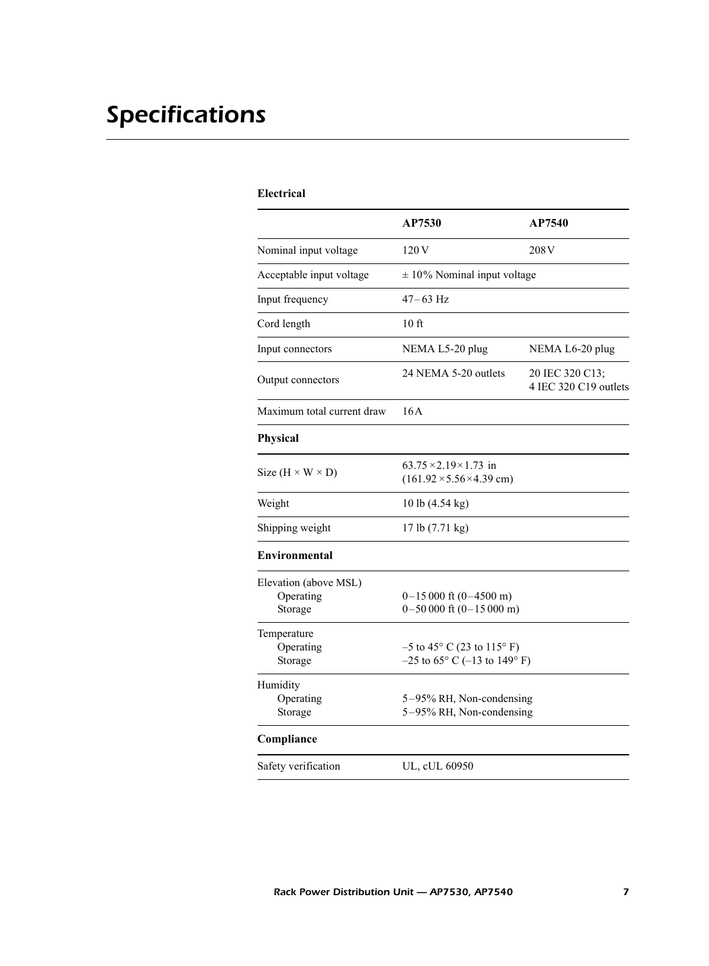# *Specifications*

### **Electrical**

|                                               | AP7530                                                                           | AP7540                                   |
|-----------------------------------------------|----------------------------------------------------------------------------------|------------------------------------------|
| Nominal input voltage                         | 120 V                                                                            | 208 <sub>V</sub>                         |
| Acceptable input voltage                      | $\pm$ 10% Nominal input voltage                                                  |                                          |
| Input frequency                               | $47 - 63$ Hz                                                                     |                                          |
| Cord length                                   | 10 <sub>ft</sub>                                                                 |                                          |
| Input connectors                              | NEMA L5-20 plug                                                                  | NEMA L6-20 plug                          |
| Output connectors                             | 24 NEMA 5-20 outlets                                                             | 20 IEC 320 C13;<br>4 IEC 320 C19 outlets |
| Maximum total current draw                    | 16A                                                                              |                                          |
| <b>Physical</b>                               |                                                                                  |                                          |
| Size $(H \times W \times D)$                  | $63.75 \times 2.19 \times 1.73$ in<br>$(161.92 \times 5.56 \times 4.39$ cm)      |                                          |
| Weight                                        | 10 lb (4.54 kg)                                                                  |                                          |
| Shipping weight                               | 17 lb (7.71 kg)                                                                  |                                          |
| Environmental                                 |                                                                                  |                                          |
| Elevation (above MSL)<br>Operating<br>Storage | $0-15000$ ft $(0-4500$ m)<br>$0-50000$ ft $(0-15000$ m)                          |                                          |
| Temperature<br>Operating<br>Storage           | $-5$ to 45 $\degree$ C (23 to 115 $\degree$ F)<br>$-25$ to 65° C (-13 to 149° F) |                                          |
| Humidity<br>Operating<br>Storage              | 5-95% RH, Non-condensing<br>5-95% RH, Non-condensing                             |                                          |
| Compliance                                    |                                                                                  |                                          |
| Safety verification                           | UL, cUL 60950                                                                    |                                          |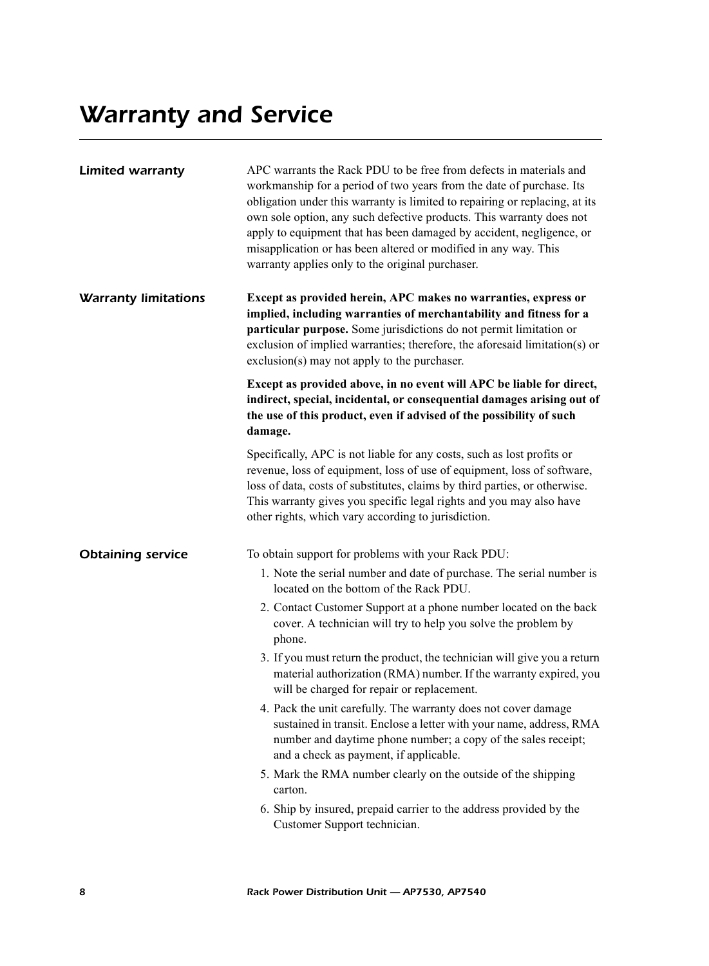| <b>Limited warranty</b>     | APC warrants the Rack PDU to be free from defects in materials and<br>workmanship for a period of two years from the date of purchase. Its<br>obligation under this warranty is limited to repairing or replacing, at its<br>own sole option, any such defective products. This warranty does not<br>apply to equipment that has been damaged by accident, negligence, or<br>misapplication or has been altered or modified in any way. This<br>warranty applies only to the original purchaser. |  |  |
|-----------------------------|--------------------------------------------------------------------------------------------------------------------------------------------------------------------------------------------------------------------------------------------------------------------------------------------------------------------------------------------------------------------------------------------------------------------------------------------------------------------------------------------------|--|--|
| <b>Warranty limitations</b> | Except as provided herein, APC makes no warranties, express or<br>implied, including warranties of merchantability and fitness for a<br>particular purpose. Some jurisdictions do not permit limitation or<br>exclusion of implied warranties; therefore, the aforesaid limitation(s) or<br>exclusion(s) may not apply to the purchaser.                                                                                                                                                         |  |  |
|                             | Except as provided above, in no event will APC be liable for direct,<br>indirect, special, incidental, or consequential damages arising out of<br>the use of this product, even if advised of the possibility of such<br>damage.                                                                                                                                                                                                                                                                 |  |  |
|                             | Specifically, APC is not liable for any costs, such as lost profits or<br>revenue, loss of equipment, loss of use of equipment, loss of software,<br>loss of data, costs of substitutes, claims by third parties, or otherwise.<br>This warranty gives you specific legal rights and you may also have<br>other rights, which vary according to jurisdiction.                                                                                                                                    |  |  |
| <b>Obtaining service</b>    | To obtain support for problems with your Rack PDU:<br>1. Note the serial number and date of purchase. The serial number is                                                                                                                                                                                                                                                                                                                                                                       |  |  |
|                             | located on the bottom of the Rack PDU.<br>2. Contact Customer Support at a phone number located on the back<br>cover. A technician will try to help you solve the problem by<br>phone.                                                                                                                                                                                                                                                                                                           |  |  |
|                             | 3. If you must return the product, the technician will give you a return<br>material authorization (RMA) number. If the warranty expired, you<br>will be charged for repair or replacement.                                                                                                                                                                                                                                                                                                      |  |  |
|                             | 4. Pack the unit carefully. The warranty does not cover damage<br>sustained in transit. Enclose a letter with your name, address, RMA<br>number and daytime phone number; a copy of the sales receipt;<br>and a check as payment, if applicable.                                                                                                                                                                                                                                                 |  |  |
|                             | 5. Mark the RMA number clearly on the outside of the shipping<br>carton.                                                                                                                                                                                                                                                                                                                                                                                                                         |  |  |
|                             | 6. Ship by insured, prepaid carrier to the address provided by the<br>Customer Support technician.                                                                                                                                                                                                                                                                                                                                                                                               |  |  |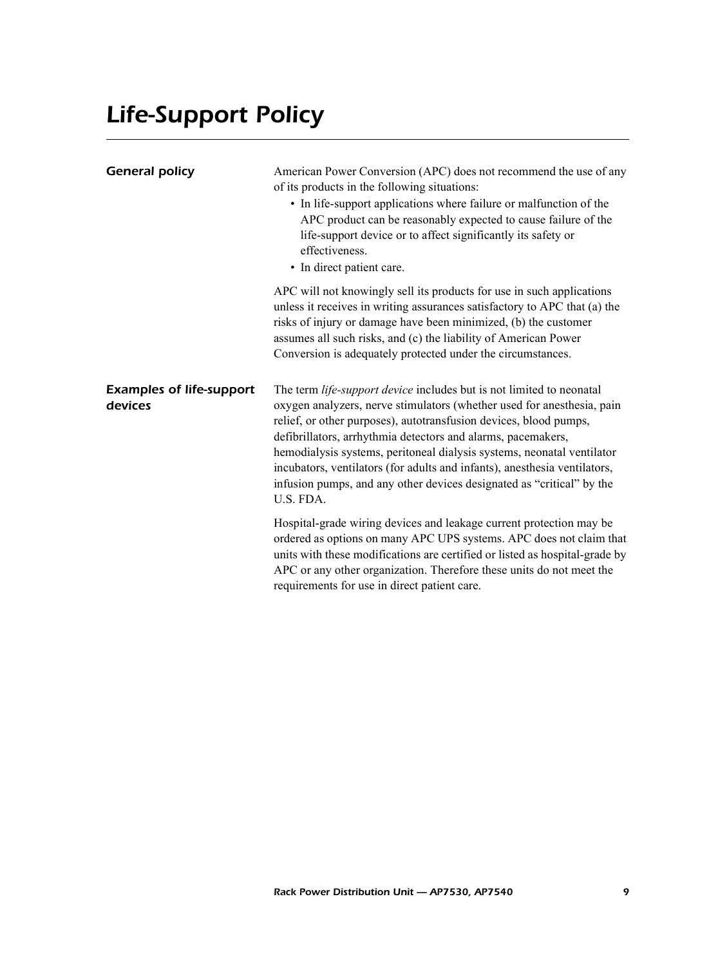# *Life-Support Policy*

| <b>General policy</b>                      | American Power Conversion (APC) does not recommend the use of any<br>of its products in the following situations:<br>• In life-support applications where failure or malfunction of the<br>APC product can be reasonably expected to cause failure of the<br>life-support device or to affect significantly its safety or<br>effectiveness.<br>• In direct patient care.                                                                                                                                                         |  |
|--------------------------------------------|----------------------------------------------------------------------------------------------------------------------------------------------------------------------------------------------------------------------------------------------------------------------------------------------------------------------------------------------------------------------------------------------------------------------------------------------------------------------------------------------------------------------------------|--|
|                                            | APC will not knowingly sell its products for use in such applications<br>unless it receives in writing assurances satisfactory to APC that (a) the<br>risks of injury or damage have been minimized, (b) the customer<br>assumes all such risks, and (c) the liability of American Power<br>Conversion is adequately protected under the circumstances.                                                                                                                                                                          |  |
| <b>Examples of life-support</b><br>devices | The term life-support device includes but is not limited to neonatal<br>oxygen analyzers, nerve stimulators (whether used for anesthesia, pain<br>relief, or other purposes), autotransfusion devices, blood pumps,<br>defibrillators, arrhythmia detectors and alarms, pacemakers,<br>hemodialysis systems, peritoneal dialysis systems, neonatal ventilator<br>incubators, ventilators (for adults and infants), anesthesia ventilators,<br>infusion pumps, and any other devices designated as "critical" by the<br>U.S. FDA. |  |
|                                            | Hospital-grade wiring devices and leakage current protection may be<br>ordered as options on many APC UPS systems. APC does not claim that<br>units with these modifications are certified or listed as hospital-grade by<br>APC or any other organization. Therefore these units do not meet the<br>requirements for use in direct patient care.                                                                                                                                                                                |  |